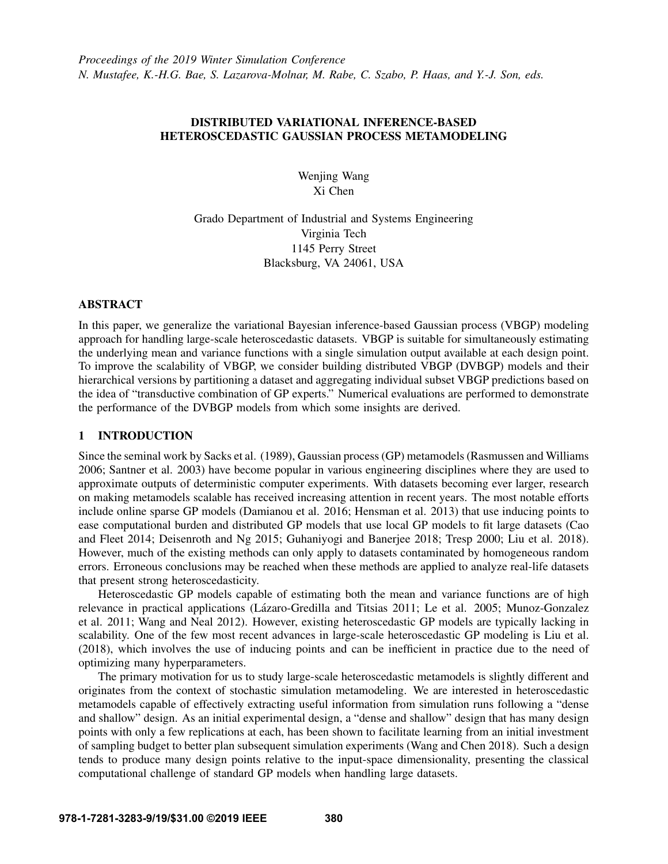# DISTRIBUTED VARIATIONAL INFERENCE-BASED HETEROSCEDASTIC GAUSSIAN PROCESS METAMODELING

Wenjing Wang Xi Chen

Grado Department of Industrial and Systems Engineering Virginia Tech 1145 Perry Street Blacksburg, VA 24061, USA

# ABSTRACT

In this paper, we generalize the variational Bayesian inference-based Gaussian process (VBGP) modeling approach for handling large-scale heteroscedastic datasets. VBGP is suitable for simultaneously estimating the underlying mean and variance functions with a single simulation output available at each design point. To improve the scalability of VBGP, we consider building distributed VBGP (DVBGP) models and their hierarchical versions by partitioning a dataset and aggregating individual subset VBGP predictions based on the idea of "transductive combination of GP experts." Numerical evaluations are performed to demonstrate the performance of the DVBGP models from which some insights are derived.

# 1 INTRODUCTION

Since the seminal work by [Sacks et al. \(1989\),](#page-11-0) Gaussian process (GP) metamodels [\(Rasmussen and Williams](#page-11-1) [2006;](#page-11-1) [Santner et al. 2003\)](#page-11-2) have become popular in various engineering disciplines where they are used to approximate outputs of deterministic computer experiments. With datasets becoming ever larger, research on making metamodels scalable has received increasing attention in recent years. The most notable efforts include online sparse GP models [\(Damianou et al. 2016;](#page-11-3) [Hensman et al. 2013\)](#page-11-4) that use inducing points to ease computational burden and distributed GP models that use local GP models to fit large datasets [\(Cao](#page-11-5) [and Fleet 2014;](#page-11-5) [Deisenroth and Ng 2015;](#page-11-6) [Guhaniyogi and Banerjee 2018;](#page-11-7) [Tresp 2000;](#page-11-8) [Liu et al. 2018\)](#page-11-9). However, much of the existing methods can only apply to datasets contaminated by homogeneous random errors. Erroneous conclusions may be reached when these methods are applied to analyze real-life datasets that present strong heteroscedasticity.

Heteroscedastic GP models capable of estimating both the mean and variance functions are of high relevance in practical applications (Lázaro-Gredilla and Titsias 2011; [Le et al. 2005;](#page-11-11) [Munoz-Gonzalez](#page-11-12) [et al. 2011;](#page-11-12) [Wang and Neal 2012\)](#page-11-13). However, existing heteroscedastic GP models are typically lacking in scalability. One of the few most recent advances in large-scale heteroscedastic GP modeling is [Liu et al.](#page-11-14) [\(2018\),](#page-11-14) which involves the use of inducing points and can be inefficient in practice due to the need of optimizing many hyperparameters.

The primary motivation for us to study large-scale heteroscedastic metamodels is slightly different and originates from the context of stochastic simulation metamodeling. We are interested in heteroscedastic metamodels capable of effectively extracting useful information from simulation runs following a "dense and shallow" design. As an initial experimental design, a "dense and shallow" design that has many design points with only a few replications at each, has been shown to facilitate learning from an initial investment of sampling budget to better plan subsequent simulation experiments [\(Wang and Chen 2018\)](#page-11-15). Such a design tends to produce many design points relative to the input-space dimensionality, presenting the classical computational challenge of standard GP models when handling large datasets.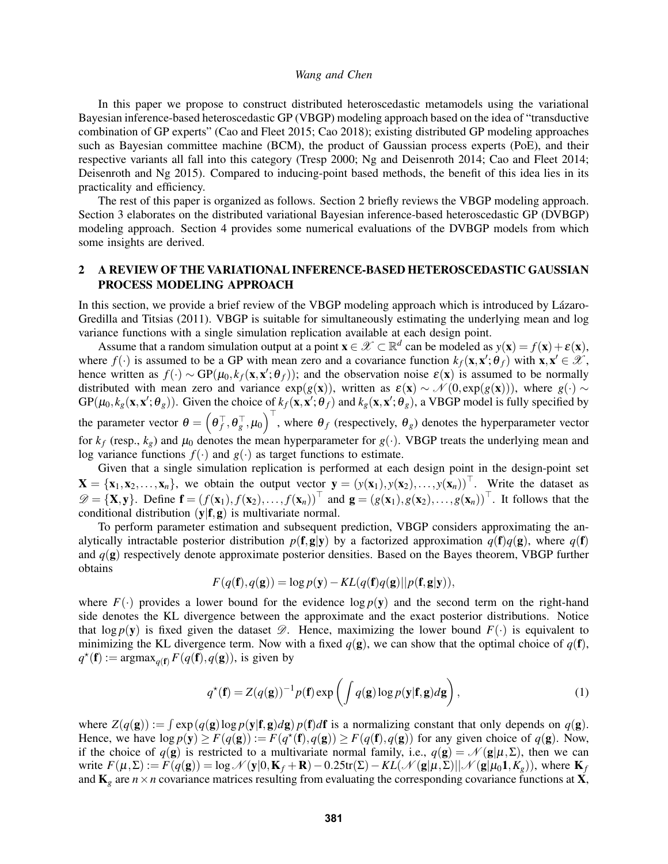In this paper we propose to construct distributed heteroscedastic metamodels using the variational Bayesian inference-based heteroscedastic GP (VBGP) modeling approach based on the idea of "transductive combination of GP experts" [\(Cao and Fleet 2015;](#page-11-16) [Cao 2018\)](#page-11-17); existing distributed GP modeling approaches such as Bayesian committee machine (BCM), the product of Gaussian process experts (PoE), and their respective variants all fall into this category [\(Tresp 2000;](#page-11-8) [Ng and Deisenroth 2014;](#page-11-18) [Cao and Fleet 2014;](#page-11-5) [Deisenroth and Ng 2015\)](#page-11-6). Compared to inducing-point based methods, the benefit of this idea lies in its practicality and efficiency.

The rest of this paper is organized as follows. Section [2](#page-1-0) briefly reviews the VBGP modeling approach. Section [3](#page-2-0) elaborates on the distributed variational Bayesian inference-based heteroscedastic GP (DVBGP) modeling approach. Section [4](#page-7-0) provides some numerical evaluations of the DVBGP models from which some insights are derived.

# <span id="page-1-0"></span>2 A REVIEW OF THE VARIATIONAL INFERENCE-BASED HETEROSCEDASTIC GAUSSIAN PROCESS MODELING APPROACH

In this section, we provide a brief review of the VBGP modeling approach which is introduced by Lázaro-[Gredilla and Titsias \(2011\).](#page-11-10) VBGP is suitable for simultaneously estimating the underlying mean and log variance functions with a single simulation replication available at each design point.

Assume that a random simulation output at a point  $\mathbf{x} \in \mathcal{X} \subset \mathbb{R}^d$  can be modeled as  $y(\mathbf{x}) = f(\mathbf{x}) + \varepsilon(\mathbf{x})$ , where  $f(\cdot)$  is assumed to be a GP with mean zero and a covariance function  $k_f(\mathbf{x}, \mathbf{x}'; \theta_f)$  with  $\mathbf{x}, \mathbf{x}' \in \mathcal{X}$ , hence written as  $f(\cdot) \sim GP(\mu_0, k_f(\mathbf{x}, \mathbf{x}'; \theta_f))$ ; and the observation noise  $\varepsilon(\mathbf{x})$  is assumed to be normally distributed with mean zero and variance  $exp(g(x))$ , written as  $\varepsilon(x) \sim \mathcal{N}(0, exp(g(x)))$ , where  $g(\cdot) \sim$  $GP(\mu_0, k_g(\mathbf{x}, \mathbf{x}'; \theta_g))$ . Given the choice of  $k_f(\mathbf{x}, \mathbf{x}'; \theta_f)$  and  $k_g(\mathbf{x}, \mathbf{x}'; \theta_g)$ , a VBGP model is fully specified by the parameter vector  $\theta = (\theta_f^{\top}, \theta_g^{\top}, \mu_0)^{\top}$ , where  $\theta_f$  (respectively,  $\theta_g$ ) denotes the hyperparameter vector for  $k_f$  (resp.,  $k_g$ ) and  $\mu_0$  denotes the mean hyperparameter for  $g(\cdot)$ . VBGP treats the underlying mean and log variance functions  $f(\cdot)$  and  $g(\cdot)$  as target functions to estimate.

Given that a single simulation replication is performed at each design point in the design-point set  $X = {\mathbf{x}_1, \mathbf{x}_2, ..., \mathbf{x}_n}$ , we obtain the output vector  $\mathbf{y} = (y(\mathbf{x}_1), y(\mathbf{x}_2), ..., y(\mathbf{x}_n))^\top$ . Write the dataset as  $\mathscr{D} = {\mathbf{X}, \mathbf{y}}$ . Define  $\mathbf{f} = (f(\mathbf{x}_1), f(\mathbf{x}_2), \dots, f(\mathbf{x}_n))^{\top}$  and  $\mathbf{g} = (g(\mathbf{x}_1), g(\mathbf{x}_2), \dots, g(\mathbf{x}_n))^{\top}$ . It follows that the conditional distribution  $(y|f,g)$  is multivariate normal.

To perform parameter estimation and subsequent prediction, VBGP considers approximating the analytically intractable posterior distribution  $p(f, g|y)$  by a factorized approximation  $q(f)q(g)$ , where  $q(f)$ and *q*(g) respectively denote approximate posterior densities. Based on the Bayes theorem, VBGP further obtains

$$
F(q(\mathbf{f}), q(\mathbf{g})) = \log p(\mathbf{y}) - KL(q(\mathbf{f})q(\mathbf{g})||p(\mathbf{f}, \mathbf{g}|\mathbf{y})),
$$

where  $F(\cdot)$  provides a lower bound for the evidence  $\log p(y)$  and the second term on the right-hand side denotes the KL divergence between the approximate and the exact posterior distributions. Notice that  $\log p(y)$  is fixed given the dataset  $\mathscr{D}$ . Hence, maximizing the lower bound  $F(\cdot)$  is equivalent to minimizing the KL divergence term. Now with a fixed  $q(\mathbf{g})$ , we can show that the optimal choice of  $q(\mathbf{f})$ ,  $q^*(\mathbf{f}) := \argmax_{q(\mathbf{f})} F(q(\mathbf{f}), q(\mathbf{g})),$  is given by

<span id="page-1-1"></span>
$$
q^{\star}(\mathbf{f}) = Z(q(\mathbf{g}))^{-1} p(\mathbf{f}) \exp\left(\int q(\mathbf{g}) \log p(\mathbf{y}|\mathbf{f}, \mathbf{g}) d\mathbf{g}\right),\tag{1}
$$

where  $Z(q(\mathbf{g})) := \int \exp(q(\mathbf{g}) \log p(\mathbf{y} | \mathbf{f}, \mathbf{g}) d\mathbf{g}) p(\mathbf{f}) d\mathbf{f}$  is a normalizing constant that only depends on  $q(\mathbf{g})$ . Hence, we have  $\log p(\mathbf{y}) \ge F(q(\mathbf{g})) := F(q^*(\mathbf{f}), q(\mathbf{g})) \ge F(q(\mathbf{f}), q(\mathbf{g}))$  for any given choice of  $q(\mathbf{g})$ . Now, if the choice of  $q(\mathbf{g})$  is restricted to a multivariate normal family, i.e.,  $q(\mathbf{g}) = \mathcal{N}(\mathbf{g}|\boldsymbol{\mu}, \boldsymbol{\Sigma})$ , then we can write  $F(\mu, \Sigma) := F(q(\mathbf{g})) = \log \mathcal{N}(\mathbf{y} | 0, \mathbf{K}_f + \mathbf{R}) - 0.25 \text{tr}(\Sigma) - KL(\mathcal{N}(\mathbf{g} | \mu, \Sigma) || \mathcal{N}(\mathbf{g} | \mu_0 \mathbf{1}, K_g)),$  where  $\mathbf{K}_f$ and  $K_g$  are  $n \times n$  covariance matrices resulting from evaluating the corresponding covariance functions at  $\dot{X}$ ,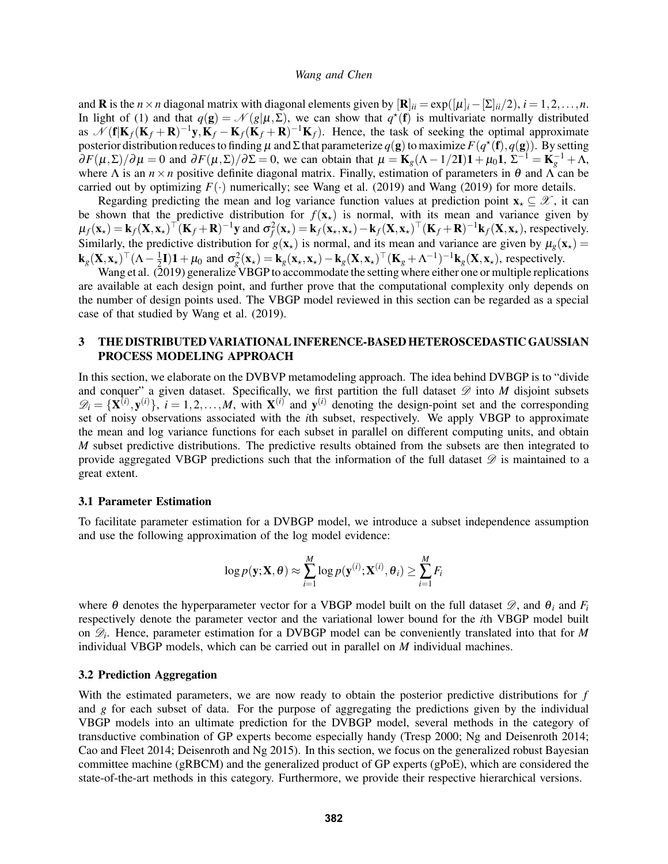and **R** is the *n* × *n* diagonal matrix with diagonal elements given by  $[\mathbf{R}]_{ii} = \exp([\mu_i - [\Sigma_{ii}/2), i = 1, 2, ..., n$ . In light of [\(1\)](#page-1-1) and that  $q(g) = \mathcal{N}(g|\mu, \Sigma)$ , we can show that  $q^*(f)$  is multivariate normally distributed as  $\mathcal{N}(\mathbf{f}|\mathbf{K}_f(\mathbf{K}_f+\mathbf{R})^{-1}\mathbf{y}, \mathbf{K}_f-\mathbf{K}_f(\mathbf{K}_f+\mathbf{R})^{-1}\mathbf{K}_f)$ . Hence, the task of seeking the optimal approximate posterior distribution reduces to finding  $\mu$  and  $\Sigma$  that parameterize  $q(\mathbf{g})$  to maximize  $F(q^\star(\mathbf{f}),q(\mathbf{g})).$  By setting  $\partial F(\mu, \Sigma)/\partial \mu = 0$  and  $\partial F(\mu, \Sigma)/\partial \Sigma = 0$ , we can obtain that  $\mu = \mathbf{K}_g(\Lambda - 1/2\mathbf{I})\mathbf{1} + \mu_0 \mathbf{1}$ ,  $\Sigma^{-1} = \mathbf{K}_g^{-1} + \Lambda$ , where  $\Lambda$  is an  $n \times n$  positive definite diagonal matrix. Finally, estimation of parameters in  $\theta$  and  $\Lambda$  can be carried out by optimizing  $F(\cdot)$  numerically; see [Wang et al. \(2019\)](#page-11-19) and [Wang \(2019\)](#page-11-20) for more details.

Regarding predicting the mean and log variance function values at prediction point  $\mathbf{x}_r \subseteq \mathcal{X}$ , it can be shown that the predictive distribution for  $f(\mathbf{x})$  is normal, with its mean and variance given by  $\mu_f(\mathbf{x}_\star) = \mathbf{k}_f(\mathbf{X}, \mathbf{x}_\star)^\top (\mathbf{K}_f + \mathbf{R})^{-1} \mathbf{y}$  and  $\sigma_f^2(\mathbf{x}_\star) = \mathbf{k}_f(\mathbf{x}_\star, \mathbf{x}_\star) - \mathbf{k}_f(\mathbf{X}, \mathbf{x}_\star)^\top (\mathbf{K}_f + \mathbf{R})^{-1} \mathbf{k}_f(\mathbf{X}, \mathbf{x}_\star)$ , respectively. Similarly, the predictive distribution for  $g(\mathbf{x})$  is normal, and its mean and variance are given by  $\mu_g(\mathbf{x})$  =  $\mathbf{k}_g(\mathbf{X}, \mathbf{x}_\star)^\top (\Lambda - \frac{1}{2})$  $\frac{1}{2}I$ )1+ $\mu_0$  and  $\sigma_g^2(\mathbf{x}_\star) = \mathbf{k}_g(\mathbf{x}_\star, \mathbf{x}_\star) - \mathbf{k}_g(\mathbf{X}, \mathbf{x}_\star)^\top (\mathbf{K}_g + \Lambda^{-1})^{-1} \mathbf{k}_g(\mathbf{X}, \mathbf{x}_\star)$ , respectively.

[Wang et al. \(2019\)](#page-11-19) generalize VBGP to accommodate the setting where either one or multiple replications are available at each design point, and further prove that the computational complexity only depends on the number of design points used. The VBGP model reviewed in this section can be regarded as a special case of that studied by [Wang et al. \(2019\).](#page-11-19)

# <span id="page-2-0"></span>3 THE DISTRIBUTED VARIATIONAL INFERENCE-BASED HETEROSCEDASTIC GAUSSIAN PROCESS MODELING APPROACH

In this section, we elaborate on the DVBVP metamodeling approach. The idea behind DVBGP is to "divide and conquer" a given dataset. Specifically, we first partition the full dataset  $\mathscr D$  into *M* disjoint subsets  $\mathscr{D}_i = \{ \mathbf{X}^{(i)}, \mathbf{y}^{(i)} \}$ ,  $i = 1, 2, ..., M$ , with  $\mathbf{X}^{(i)}$  and  $\mathbf{y}^{(i)}$  denoting the design-point set and the corresponding set of noisy observations associated with the *i*th subset, respectively. We apply VBGP to approximate the mean and log variance functions for each subset in parallel on different computing units, and obtain *M* subset predictive distributions. The predictive results obtained from the subsets are then integrated to provide aggregated VBGP predictions such that the information of the full dataset  $\mathscr D$  is maintained to a great extent.

#### 3.1 Parameter Estimation

To facilitate parameter estimation for a DVBGP model, we introduce a subset independence assumption and use the following approximation of the log model evidence:

$$
\log p(\mathbf{y}; \mathbf{X}, \boldsymbol{\theta}) \approx \sum_{i=1}^{M} \log p(\mathbf{y}^{(i)}; \mathbf{X}^{(i)}, \boldsymbol{\theta}_i) \ge \sum_{i=1}^{M} F_i
$$

where  $\theta$  denotes the hyperparameter vector for a VBGP model built on the full dataset  $\mathcal{D}$ , and  $\theta_i$  and  $F_i$ respectively denote the parameter vector and the variational lower bound for the *i*th VBGP model built on D*<sup>i</sup>* . Hence, parameter estimation for a DVBGP model can be conveniently translated into that for *M* individual VBGP models, which can be carried out in parallel on *M* individual machines.

## 3.2 Prediction Aggregation

With the estimated parameters, we are now ready to obtain the posterior predictive distributions for *f* and *g* for each subset of data. For the purpose of aggregating the predictions given by the individual VBGP models into an ultimate prediction for the DVBGP model, several methods in the category of transductive combination of GP experts become especially handy [\(Tresp 2000;](#page-11-8) [Ng and Deisenroth 2014;](#page-11-18) [Cao and Fleet 2014;](#page-11-5) [Deisenroth and Ng 2015\)](#page-11-6). In this section, we focus on the generalized robust Bayesian committee machine (gRBCM) and the generalized product of GP experts (gPoE), which are considered the state-of-the-art methods in this category. Furthermore, we provide their respective hierarchical versions.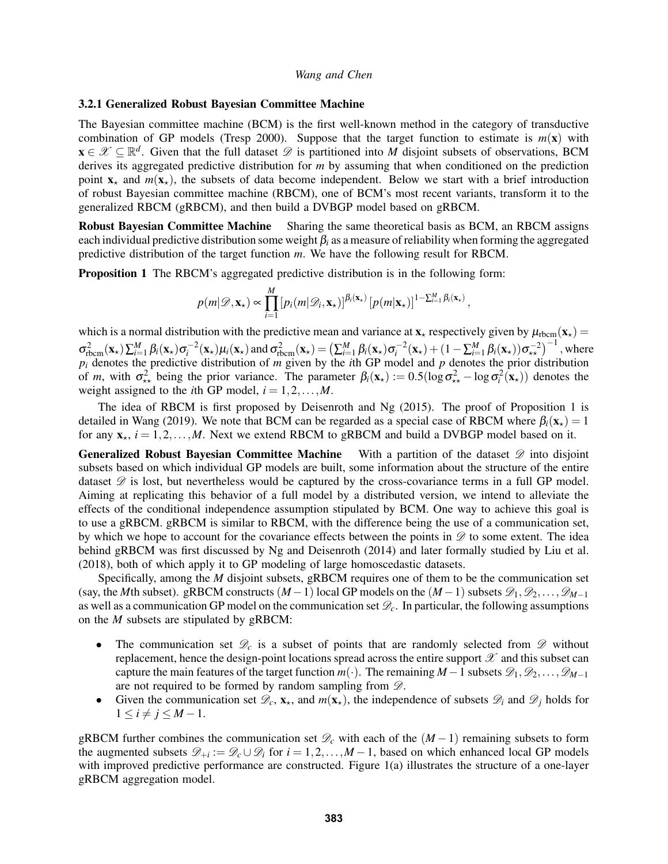## 3.2.1 Generalized Robust Bayesian Committee Machine

The Bayesian committee machine (BCM) is the first well-known method in the category of transductive combination of GP models [\(Tresp 2000\)](#page-11-8). Suppose that the target function to estimate is  $m(\mathbf{x})$  with  $\mathbf{x} \in \mathcal{X} \subseteq \mathbb{R}^d$ . Given that the full dataset  $\mathcal{D}$  is partitioned into *M* disjoint subsets of observations, BCM derives its aggregated predictive distribution for *m* by assuming that when conditioned on the prediction point  $x<sub>*</sub>$  and  $m(x<sub>*</sub>)$ , the subsets of data become independent. Below we start with a brief introduction of robust Bayesian committee machine (RBCM), one of BCM's most recent variants, transform it to the generalized RBCM (gRBCM), and then build a DVBGP model based on gRBCM.

Robust Bayesian Committee Machine Sharing the same theoretical basis as BCM, an RBCM assigns each individual predictive distribution some weight  $\beta_i$  as a measure of reliability when forming the aggregated predictive distribution of the target function *m*. We have the following result for RBCM.

<span id="page-3-0"></span>Proposition 1 The RBCM's aggregated predictive distribution is in the following form:

$$
p(m|\mathscr{D}, \mathbf{x}_{\star}) \propto \prod_{i=1}^{M} \left[ p_i(m|\mathscr{D}_i, \mathbf{x}_{\star}) \right]^{\beta_i(\mathbf{x}_{\star})} \left[ p(m|\mathbf{x}_{\star}) \right]^{1-\sum_{i=1}^{M} \beta_i(\mathbf{x}_{\star})},
$$

which is a normal distribution with the predictive mean and variance at  $\mathbf{x}_*$  respectively given by  $\mu_{\text{rbcm}}(\mathbf{x}_*)$  =  $\sigma_{\text{rbcm}}^2(\mathbf{x}_\star)\sum_{i=1}^M \beta_i(\mathbf{x}_\star)\sigma_i^{-2}(\mathbf{x}_\star)\mu_i(\mathbf{x}_\star)$  and  $\sigma_{\text{rbcm}}^2(\mathbf{x}_\star) = \left(\sum_{i=1}^M \beta_i(\mathbf{x}_\star)\sigma_i^{-2}(\mathbf{x}_\star) + (1-\sum_{i=1}^M \beta_i(\mathbf{x}_\star))\sigma_{\star\star}^{-2}\right)^{-1}$ , where *p<sup>i</sup>* denotes the predictive distribution of *m* given by the *i*th GP model and *p* denotes the prior distribution of *m*, with  $\sigma_{\star\star}^2$  being the prior variance. The parameter  $\beta_i(\mathbf{x}_\star) := 0.5(\log \sigma_{\star\star}^2 - \log \sigma_i^2(\mathbf{x}_\star))$  denotes the weight assigned to the *i*th GP model,  $i = 1, 2, ..., M$ .

The idea of RBCM is first proposed by [Deisenroth and Ng \(2015\).](#page-11-6) The proof of Proposition [1](#page-3-0) is detailed in [Wang \(2019\).](#page-11-20) We note that BCM can be regarded as a special case of RBCM where  $\beta_i(\mathbf{x}_i) = 1$ for any  $x_{\star}$ ,  $i = 1, 2, \ldots, M$ . Next we extend RBCM to gRBCM and build a DVBGP model based on it.

**Generalized Robust Bayesian Committee Machine** With a partition of the dataset  $\mathscr{D}$  into disjoint subsets based on which individual GP models are built, some information about the structure of the entire dataset  $\mathscr D$  is lost, but nevertheless would be captured by the cross-covariance terms in a full GP model. Aiming at replicating this behavior of a full model by a distributed version, we intend to alleviate the effects of the conditional independence assumption stipulated by BCM. One way to achieve this goal is to use a gRBCM. gRBCM is similar to RBCM, with the difference being the use of a communication set, by which we hope to account for the covariance effects between the points in  $\mathscr D$  to some extent. The idea behind gRBCM was first discussed by [Ng and Deisenroth \(2014\)](#page-11-18) and later formally studied by [Liu et al.](#page-11-9) [\(2018\),](#page-11-9) both of which apply it to GP modeling of large homoscedastic datasets.

Specifically, among the *M* disjoint subsets, gRBCM requires one of them to be the communication set (say, the *M*th subset). gRBCM constructs  $(M-1)$  local GP models on the  $(M-1)$  subsets  $\mathscr{D}_1, \mathscr{D}_2, \ldots, \mathscr{D}_{M-1}$ as well as a communication GP model on the communication set  $\mathcal{D}_c$ . In particular, the following assumptions on the *M* subsets are stipulated by gRBCM:

- The communication set  $\mathcal{D}_c$  is a subset of points that are randomly selected from  $\mathcal D$  without replacement, hence the design-point locations spread across the entire support  $\mathscr X$  and this subset can capture the main features of the target function *m*(·). The remaining *M* − 1 subsets  $\mathscr{D}_1, \mathscr{D}_2, \ldots, \mathscr{D}_{M-1}$ are not required to be formed by random sampling from  $\mathscr{D}$ .
- Given the communication set  $\mathscr{D}_c$ ,  $\mathbf{x}_*$ , and  $m(\mathbf{x}_*)$ , the independence of subsets  $\mathscr{D}_i$  and  $\mathscr{D}_j$  holds for  $1 \leq i \neq j \leq M-1$ .

gRBCM further combines the communication set  $\mathscr{D}_c$  with each of the  $(M-1)$  remaining subsets to form the augmented subsets  $\mathcal{D}_{+i} := \mathcal{D}_c \cup \mathcal{D}_i$  for  $i = 1, 2, ..., M - 1$ , based on which enhanced local GP models with improved predictive performance are constructed. Figure [1\(](#page-5-0)a) illustrates the structure of a one-layer gRBCM aggregation model.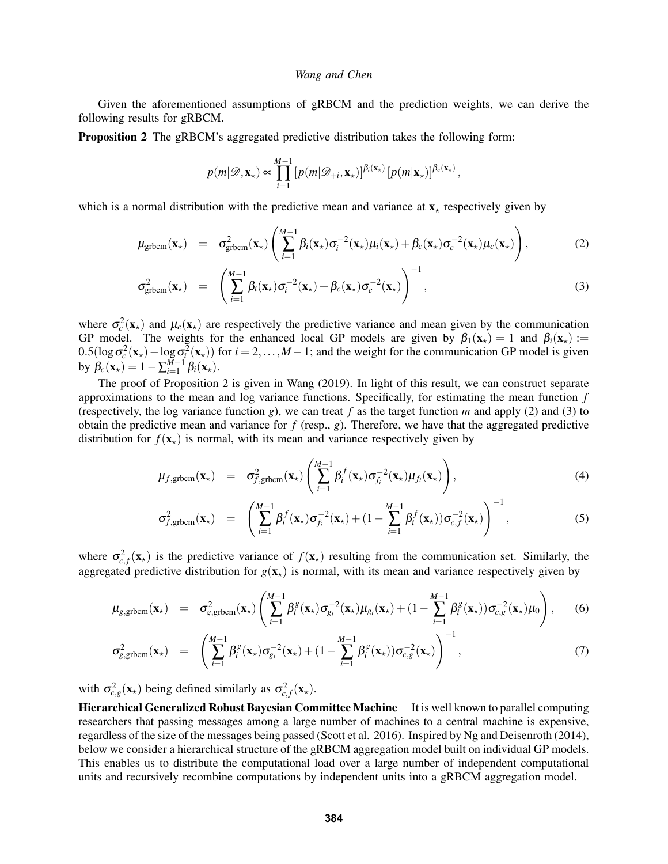Given the aforementioned assumptions of gRBCM and the prediction weights, we can derive the following results for gRBCM.

<span id="page-4-0"></span>Proposition 2 The gRBCM's aggregated predictive distribution takes the following form:

$$
p(m|\mathscr{D}, \mathbf{x}_{\star}) \propto \prod_{i=1}^{M-1} \left[ p(m|\mathscr{D}_{+i}, \mathbf{x}_{\star}) \right]^{\beta_i(\mathbf{x}_{\star})} \left[ p(m|\mathbf{x}_{\star}) \right]^{\beta_c(\mathbf{x}_{\star})},
$$

which is a normal distribution with the predictive mean and variance at  $x<sub>*</sub>$  respectively given by

<span id="page-4-1"></span>
$$
\mu_{\text{grbcm}}(\mathbf{x}_{\star}) = \sigma_{\text{grbcm}}^2(\mathbf{x}_{\star}) \left( \sum_{i=1}^{M-1} \beta_i(\mathbf{x}_{\star}) \sigma_i^{-2}(\mathbf{x}_{\star}) \mu_i(\mathbf{x}_{\star}) + \beta_c(\mathbf{x}_{\star}) \sigma_c^{-2}(\mathbf{x}_{\star}) \mu_c(\mathbf{x}_{\star}) \right), \tag{2}
$$

$$
\sigma_{\text{grbcm}}^2(\mathbf{x}_\star) = \left( \sum_{i=1}^{M-1} \beta_i(\mathbf{x}_\star) \sigma_i^{-2}(\mathbf{x}_\star) + \beta_c(\mathbf{x}_\star) \sigma_c^{-2}(\mathbf{x}_\star) \right)^{-1}, \tag{3}
$$

where  $\sigma_c^2(\mathbf{x}_\star)$  and  $\mu_c(\mathbf{x}_\star)$  are respectively the predictive variance and mean given by the communication GP model. The weights for the enhanced local GP models are given by  $\beta_1(\mathbf{x}_\star) = 1$  and  $\beta_i(\mathbf{x}_\star) :=$  $0.5(\log \sigma_c^2(\mathbf{x}_\star) - \log \sigma_i^2(\mathbf{x}_\star))$  for  $i = 2, ..., M - 1$ ; and the weight for the communication GP model is given by  $\beta_c(\mathbf{x}_\star) = 1 - \sum_{i=1}^{M-1} \beta_i(\mathbf{x}_\star).$ 

The proof of Proposition [2](#page-4-0) is given in [Wang \(2019\).](#page-11-20) In light of this result, we can construct separate approximations to the mean and log variance functions. Specifically, for estimating the mean function *f* (respectively, the log variance function *g*), we can treat *f* as the target function *m* and apply [\(2\)](#page-4-1) and [\(3\)](#page-4-1) to obtain the predictive mean and variance for  $f$  (resp.,  $g$ ). Therefore, we have that the aggregated predictive distribution for  $f(\mathbf{x})$  is normal, with its mean and variance respectively given by

<span id="page-4-2"></span>
$$
\mu_{f, \text{grbcm}}(\mathbf{x}_{\star}) = \sigma_{f, \text{grbcm}}^2(\mathbf{x}_{\star}) \left( \sum_{i=1}^{M-1} \beta_i^f(\mathbf{x}_{\star}) \sigma_{f_i}^{-2}(\mathbf{x}_{\star}) \mu_{f_i}(\mathbf{x}_{\star}) \right), \tag{4}
$$

$$
\sigma_{f,\text{grbcm}}^2(\mathbf{x}_\star) = \left( \sum_{i=1}^{M-1} \beta_i^f(\mathbf{x}_\star) \sigma_{f_i}^{-2}(\mathbf{x}_\star) + (1 - \sum_{i=1}^{M-1} \beta_i^f(\mathbf{x}_\star)) \sigma_{c,f}^{-2}(\mathbf{x}_\star) \right)^{-1}, \tag{5}
$$

where  $\sigma_{c,f}^2(\mathbf{x}_\star)$  is the predictive variance of  $f(\mathbf{x}_\star)$  resulting from the communication set. Similarly, the aggregated predictive distribution for  $g(x)$  is normal, with its mean and variance respectively given by

<span id="page-4-3"></span>
$$
\mu_{g,\text{grbcm}}(\mathbf{x}_{\star}) = \sigma_{g,\text{grbcm}}^2(\mathbf{x}_{\star}) \left( \sum_{i=1}^{M-1} \beta_i^g(\mathbf{x}_{\star}) \sigma_{g_i}^{-2}(\mathbf{x}_{\star}) \mu_{g_i}(\mathbf{x}_{\star}) + (1 - \sum_{i=1}^{M-1} \beta_i^g(\mathbf{x}_{\star})) \sigma_{c,g}^{-2}(\mathbf{x}_{\star}) \mu_0 \right), \quad (6)
$$

$$
\sigma_{g,\text{grbcm}}^2(\mathbf{x}_\star) = \left( \sum_{i=1}^{M-1} \beta_i^g(\mathbf{x}_\star) \sigma_{g_i}^{-2}(\mathbf{x}_\star) + (1 - \sum_{i=1}^{M-1} \beta_i^g(\mathbf{x}_\star)) \sigma_{c,g}^{-2}(\mathbf{x}_\star) \right)^{-1}, \tag{7}
$$

with  $\sigma_{c,g}^2(\mathbf{x}_\star)$  being defined similarly as  $\sigma_{c,f}^2(\mathbf{x}_\star)$ .

Hierarchical Generalized Robust Bayesian Committee Machine It is well known to parallel computing researchers that passing messages among a large number of machines to a central machine is expensive, regardless of the size of the messages being passed [\(Scott et al. 2016\)](#page-11-21). Inspired by [Ng and Deisenroth \(2014\),](#page-11-18) below we consider a hierarchical structure of the gRBCM aggregation model built on individual GP models. This enables us to distribute the computational load over a large number of independent computational units and recursively recombine computations by independent units into a gRBCM aggregation model.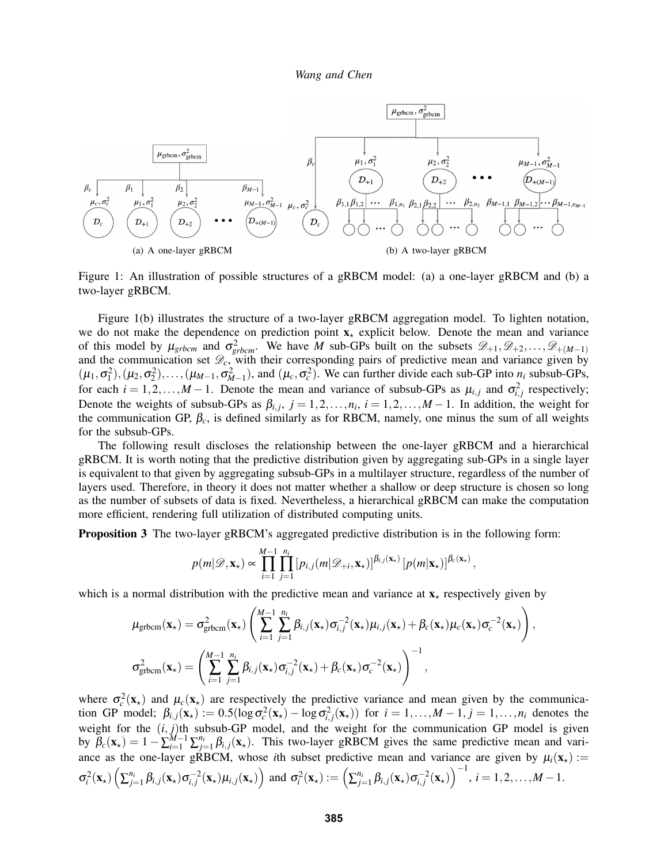

<span id="page-5-0"></span>Figure 1: An illustration of possible structures of a gRBCM model: (a) a one-layer gRBCM and (b) a two-layer gRBCM.

Figure [1\(](#page-5-0)b) illustrates the structure of a two-layer gRBCM aggregation model. To lighten notation, we do not make the dependence on prediction point  $x<sub>*</sub>$  explicit below. Denote the mean and variance of this model by  $\mu_{\text{grbcm}}$  and  $\sigma_{\text{grbcm}}^2$ . We have *M* sub-GPs built on the subsets  $\mathscr{D}_{+1}, \mathscr{D}_{+2}, \ldots, \mathscr{D}_{+(M-1)}$ and the communication set  $\mathcal{D}_c$ , with their corresponding pairs of predictive mean and variance given by  $(\mu_1, \sigma_1^2), (\mu_2, \sigma_2^2), \ldots, (\mu_{M-1}, \sigma_{M-1}^2)$ , and  $(\mu_c, \sigma_c^2)$ . We can further divide each sub-GP into  $n_i$  subsub-GPs, for each  $i = 1, 2, ..., M - 1$ . Denote the mean and variance of subsub-GPs as  $\mu_{i,j}$  and  $\sigma_{i,j}^2$  respectively; Denote the weights of subsub-GPs as  $\beta_{i,j}$ ,  $j = 1, 2, ..., n_i$ ,  $i = 1, 2, ..., M - 1$ . In addition, the weight for the communication GP,  $\beta_c$ , is defined similarly as for RBCM, namely, one minus the sum of all weights for the subsub-GPs.

The following result discloses the relationship between the one-layer gRBCM and a hierarchical gRBCM. It is worth noting that the predictive distribution given by aggregating sub-GPs in a single layer is equivalent to that given by aggregating subsub-GPs in a multilayer structure, regardless of the number of layers used. Therefore, in theory it does not matter whether a shallow or deep structure is chosen so long as the number of subsets of data is fixed. Nevertheless, a hierarchical gRBCM can make the computation more efficient, rendering full utilization of distributed computing units.

<span id="page-5-1"></span>Proposition 3 The two-layer gRBCM's aggregated predictive distribution is in the following form:

$$
p(m|\mathscr{D}, \mathbf{x}_{\star}) \propto \prod_{i=1}^{M-1} \prod_{j=1}^{n_i} [p_{i,j}(m|\mathscr{D}_{+i}, \mathbf{x}_{\star})]^{\beta_{i,j}(\mathbf{x}_{\star})} [p(m|\mathbf{x}_{\star})]^{\beta_c(\mathbf{x}_{\star})},
$$

which is a normal distribution with the predictive mean and variance at  $x<sub>*</sub>$  respectively given by

$$
\mu_{\text{grbcm}}(\mathbf{x}_{\star}) = \sigma_{\text{grbcm}}^2(\mathbf{x}_{\star}) \left( \sum_{i=1}^{M-1} \sum_{j=1}^{n_i} \beta_{i,j}(\mathbf{x}_{\star}) \sigma_{i,j}^{-2}(\mathbf{x}_{\star}) \mu_{i,j}(\mathbf{x}_{\star}) + \beta_c(\mathbf{x}_{\star}) \mu_c(\mathbf{x}_{\star}) \sigma_c^{-2}(\mathbf{x}_{\star}) \right),
$$

$$
\sigma_{\text{grbcm}}^2(\mathbf{x}_{\star}) = \left( \sum_{i=1}^{M-1} \sum_{j=1}^{n_i} \beta_{i,j}(\mathbf{x}_{\star}) \sigma_{i,j}^{-2}(\mathbf{x}_{\star}) + \beta_c(\mathbf{x}_{\star}) \sigma_c^{-2}(\mathbf{x}_{\star}) \right)^{-1},
$$

where  $\sigma_c^2(\mathbf{x}_\star)$  and  $\mu_c(\mathbf{x}_\star)$  are respectively the predictive variance and mean given by the communication GP model;  $\beta_{i,j}(\mathbf{x}_\star) := 0.5(\log \sigma_c^2(\mathbf{x}_\star) - \log \sigma_{i,j}^2(\mathbf{x}_\star))$  for  $i = 1,\ldots,M-1, j = 1,\ldots,n_i$  denotes the weight for the  $(i, j)$ th subsub-GP model, and the weight for the communication GP model is given by  $\beta_c(\mathbf{x}_\star) = 1 - \sum_{i=1}^{M-1} \sum_{j=1}^{n_i} \beta_{i,j}(\mathbf{x}_\star)$ . This two-layer gRBCM gives the same predictive mean and variance as the one-layer gRBCM, whose *i*th subset predictive mean and variance are given by  $\mu_i(\mathbf{x}_*)$  :=  $\sigma_i^2(\mathbf{x}_\star) \left( \sum_{j=1}^{n_i} \beta_{i,j}(\mathbf{x}_\star) \sigma_{i,j}^{-2}(\mathbf{x}_\star) \mu_{i,j}(\mathbf{x}_\star) \right)$  and  $\sigma_i^2(\mathbf{x}_\star) := \left( \sum_{j=1}^{n_i} \beta_{i,j}(\mathbf{x}_\star) \sigma_{i,j}^{-2}(\mathbf{x}_\star) \right)^{-1}$ ,  $i = 1, 2, ..., M - 1$ .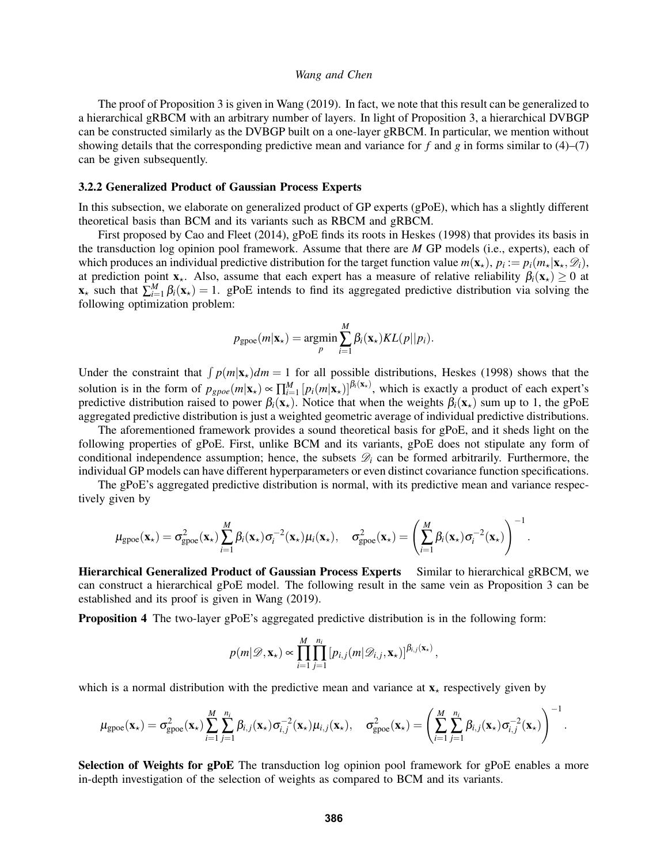The proof of Proposition [3](#page-5-1) is given in [Wang \(2019\).](#page-11-20) In fact, we note that this result can be generalized to a hierarchical gRBCM with an arbitrary number of layers. In light of Proposition [3,](#page-5-1) a hierarchical DVBGP can be constructed similarly as the DVBGP built on a one-layer gRBCM. In particular, we mention without showing details that the corresponding predictive mean and variance for  $f$  and  $g$  in forms similar to [\(4\)](#page-4-2)–[\(7\)](#page-4-3) can be given subsequently.

# 3.2.2 Generalized Product of Gaussian Process Experts

In this subsection, we elaborate on generalized product of GP experts (gPoE), which has a slightly different theoretical basis than BCM and its variants such as RBCM and gRBCM.

First proposed by [Cao and Fleet \(2014\),](#page-11-5) gPoE finds its roots in [Heskes \(1998\)](#page-11-22) that provides its basis in the transduction log opinion pool framework. Assume that there are *M* GP models (i.e., experts), each of which produces an individual predictive distribution for the target function value  $m(\mathbf{x}_\star)$ ,  $p_i := p_i(m_\star|\mathbf{x}_\star,\mathcal{D}_i)$ , at prediction point  $\mathbf{x}_k$ . Also, assume that each expert has a measure of relative reliability  $\beta_i(\mathbf{x}_k) \geq 0$  at  $\mathbf{x}_\star$  such that  $\sum_{i=1}^M \beta_i(\mathbf{x}_\star) = 1$ . gPoE intends to find its aggregated predictive distribution via solving the following optimization problem:

$$
p_{\text{gpoe}}(m|\mathbf{x}_{\star}) = \underset{p}{\text{argmin}} \sum_{i=1}^{M} \beta_i(\mathbf{x}_{\star}) KL(p||p_i).
$$

Under the constraint that  $\int p(m|x_{\star})dm = 1$  for all possible distributions, [Heskes \(1998\)](#page-11-22) shows that the solution is in the form of  $p_{\text{gpoe}}(m|\mathbf{x}_*) \propto \prod_{i=1}^{M} [p_i(m|\mathbf{x}_*)]^{\beta_i(\mathbf{x}_*)}$ , which is exactly a product of each expert's predictive distribution raised to power  $\beta_i(x_\star)$ . Notice that when the weights  $\beta_i(x_\star)$  sum up to 1, the gPoE aggregated predictive distribution is just a weighted geometric average of individual predictive distributions.

The aforementioned framework provides a sound theoretical basis for gPoE, and it sheds light on the following properties of gPoE. First, unlike BCM and its variants, gPoE does not stipulate any form of conditional independence assumption; hence, the subsets  $\mathcal{D}_i$  can be formed arbitrarily. Furthermore, the individual GP models can have different hyperparameters or even distinct covariance function specifications.

The gPoE's aggregated predictive distribution is normal, with its predictive mean and variance respectively given by

$$
\mu_{\text{gpoe}}(\mathbf{x}_{\star}) = \sigma_{\text{gpoe}}^2(\mathbf{x}_{\star}) \sum_{i=1}^M \beta_i(\mathbf{x}_{\star}) \sigma_i^{-2}(\mathbf{x}_{\star}) \mu_i(\mathbf{x}_{\star}), \quad \sigma_{\text{gpoe}}^2(\mathbf{x}_{\star}) = \left( \sum_{i=1}^M \beta_i(\mathbf{x}_{\star}) \sigma_i^{-2}(\mathbf{x}_{\star}) \right)^{-1}.
$$

Hierarchical Generalized Product of Gaussian Process Experts Similar to hierarchical gRBCM, we can construct a hierarchical gPoE model. The following result in the same vein as Proposition [3](#page-5-1) can be established and its proof is given in [Wang \(2019\).](#page-11-20)

Proposition 4 The two-layer gPoE's aggregated predictive distribution is in the following form:

$$
p(m|\mathscr{D}, \mathbf{x}_{\star}) \propto \prod_{i=1}^{M} \prod_{j=1}^{n_i} [p_{i,j}(m|\mathscr{D}_{i,j}, \mathbf{x}_{\star})]^{\beta_{i,j}(\mathbf{x}_{\star})},
$$

which is a normal distribution with the predictive mean and variance at  $x<sub>*</sub>$  respectively given by

$$
\mu_{\text{gpoe}}(\mathbf{x}_{\star}) = \sigma_{\text{gpoe}}^2(\mathbf{x}_{\star}) \sum_{i=1}^M \sum_{j=1}^{n_i} \beta_{i,j}(\mathbf{x}_{\star}) \sigma_{i,j}^{-2}(\mathbf{x}_{\star}) \mu_{i,j}(\mathbf{x}_{\star}), \quad \sigma_{\text{gpoe}}^2(\mathbf{x}_{\star}) = \left( \sum_{i=1}^M \sum_{j=1}^{n_i} \beta_{i,j}(\mathbf{x}_{\star}) \sigma_{i,j}^{-2}(\mathbf{x}_{\star}) \right)^{-1}.
$$

Selection of Weights for gPoE The transduction log opinion pool framework for gPoE enables a more in-depth investigation of the selection of weights as compared to BCM and its variants.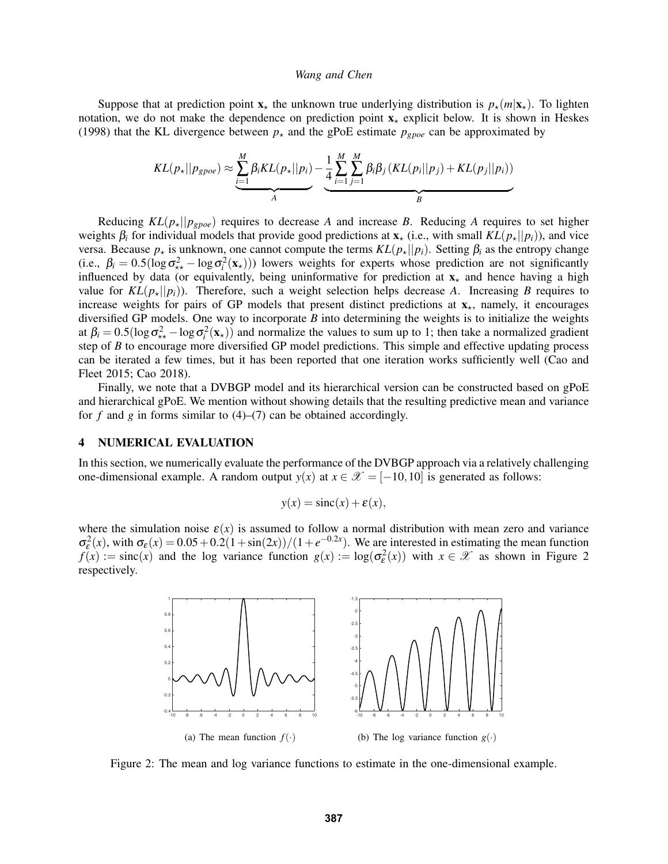Suppose that at prediction point  $x<sub>x</sub>$  the unknown true underlying distribution is  $p<sub>x</sub>(m|x<sub>x</sub>)$ . To lighten notation, we do not make the dependence on prediction point  $x<sub>x</sub>$  explicit below. It is shown in [Heskes](#page-11-22) [\(1998\)](#page-11-22) that the KL divergence between  $p<sub>x</sub>$  and the gPoE estimate  $p<sub>gpoe</sub>$  can be approximated by

$$
KL(p_{\star}||p_{\text{gpoe}}) \approx \underbrace{\sum_{i=1}^{M} \beta_{i} KL(p_{\star}||p_{i})}_{A} - \underbrace{\frac{1}{4} \sum_{i=1}^{M} \sum_{j=1}^{M} \beta_{i} \beta_{j} (KL(p_{i}||p_{j}) + KL(p_{j}||p_{i}))}_{B}
$$

Reducing  $KL(p_{\star}||p_{\text{gpoe}})$  requires to decrease *A* and increase *B*. Reducing *A* requires to set higher weights  $\beta_i$  for individual models that provide good predictions at  $\mathbf{x}_*$  (i.e., with small  $KL(p_*||p_i)$ ), and vice versa. Because  $p_*$  is unknown, one cannot compute the terms  $KL(p_*||p_i)$ . Setting  $\beta_i$  as the entropy change (i.e.,  $\beta_i = 0.5(\log \sigma_{\star\star}^2 - \log \sigma_i^2(\mathbf{x}_\star))$ ) lowers weights for experts whose prediction are not significantly influenced by data (or equivalently, being uninformative for prediction at  $x_{\star}$  and hence having a high value for  $KL(p_x||p_i)$ . Therefore, such a weight selection helps decrease *A*. Increasing *B* requires to increase weights for pairs of GP models that present distinct predictions at  $\mathbf{x}_k$ , namely, it encourages diversified GP models. One way to incorporate *B* into determining the weights is to initialize the weights at  $\beta_i = 0.5(\log \sigma_{xx}^2 - \log \sigma_i^2(\mathbf{x}_x))$  and normalize the values to sum up to 1; then take a normalized gradient step of *B* to encourage more diversified GP model predictions. This simple and effective updating process can be iterated a few times, but it has been reported that one iteration works sufficiently well [\(Cao and](#page-11-16) [Fleet 2015;](#page-11-16) [Cao 2018\)](#page-11-17).

Finally, we note that a DVBGP model and its hierarchical version can be constructed based on gPoE and hierarchical gPoE. We mention without showing details that the resulting predictive mean and variance for  $f$  and  $g$  in forms similar to  $(4)$ – $(7)$  can be obtained accordingly.

## <span id="page-7-0"></span>4 NUMERICAL EVALUATION

In this section, we numerically evaluate the performance of the DVBGP approach via a relatively challenging one-dimensional example. A random output  $y(x)$  at  $x \in \mathcal{X} = [-10, 10]$  is generated as follows:

$$
y(x) = \operatorname{sinc}(x) + \varepsilon(x),
$$

where the simulation noise  $\varepsilon(x)$  is assumed to follow a normal distribution with mean zero and variance  $\sigma_{\varepsilon}^2(x)$ , with  $\sigma_{\varepsilon}(x) = 0.05 + 0.2(1 + \sin(2x))/(1 + e^{-0.2x})$ . We are interested in estimating the mean function  $f(x) := \text{sinc}(x)$  and the log variance function  $g(x) := \log(\sigma_{\varepsilon}^2(x))$  $g(x) := \log(\sigma_{\varepsilon}^2(x))$  $g(x) := \log(\sigma_{\varepsilon}^2(x))$  with  $x \in \mathcal{X}$  as shown in Figure 2 respectively.



<span id="page-7-1"></span>Figure 2: The mean and log variance functions to estimate in the one-dimensional example.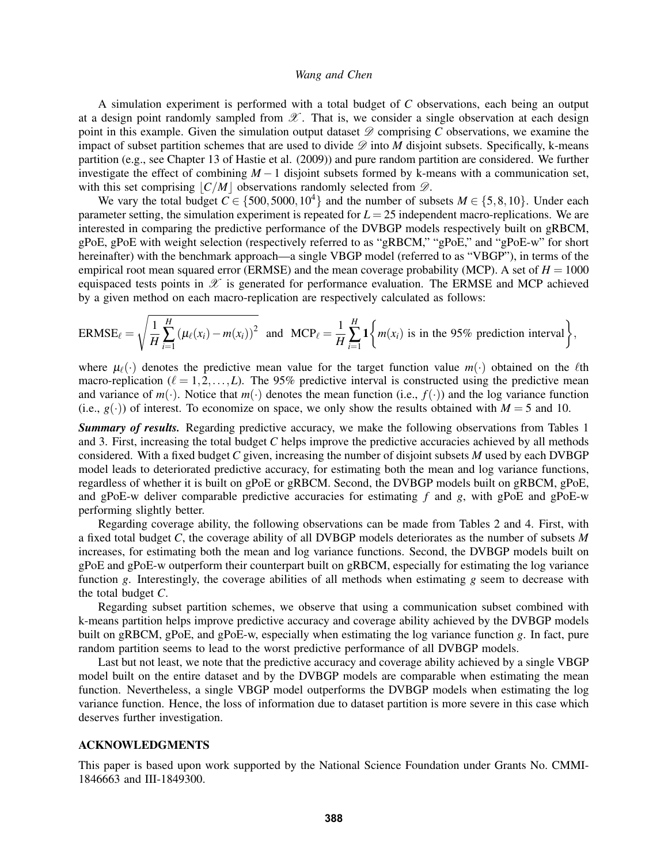A simulation experiment is performed with a total budget of *C* observations, each being an output at a design point randomly sampled from  $\mathscr X$ . That is, we consider a single observation at each design point in this example. Given the simulation output dataset  $\mathscr D$  comprising *C* observations, we examine the impact of subset partition schemes that are used to divide  $\mathscr D$  into *M* disjoint subsets. Specifically, k-means partition (e.g., see Chapter 13 of [Hastie et al. \(2009\)\)](#page-11-23) and pure random partition are considered. We further investigate the effect of combining *M* −1 disjoint subsets formed by k-means with a communication set, with this set comprising  $|C/M|$  observations randomly selected from  $\mathscr{D}$ .

We vary the total budget  $C \in \{500, 5000, 10^4\}$  and the number of subsets  $M \in \{5, 8, 10\}$ . Under each parameter setting, the simulation experiment is repeated for *L* = 25 independent macro-replications. We are interested in comparing the predictive performance of the DVBGP models respectively built on gRBCM, gPoE, gPoE with weight selection (respectively referred to as "gRBCM," "gPoE," and "gPoE-w" for short hereinafter) with the benchmark approach—a single VBGP model (referred to as "VBGP"), in terms of the empirical root mean squared error (ERMSE) and the mean coverage probability (MCP). A set of  $H = 1000$ equispaced tests points in  $\mathscr X$  is generated for performance evaluation. The ERMSE and MCP achieved by a given method on each macro-replication are respectively calculated as follows:

$$
\text{ERMSE}_{\ell} = \sqrt{\frac{1}{H} \sum_{i=1}^{H} (\mu_{\ell}(x_i) - m(x_i))^2} \text{ and } \text{MCP}_{\ell} = \frac{1}{H} \sum_{i=1}^{H} \mathbf{1} \left\{ m(x_i) \text{ is in the 95% prediction interval} \right\},
$$

where  $\mu_{\ell}(\cdot)$  denotes the predictive mean value for the target function value  $m(\cdot)$  obtained on the  $\ell$ th macro-replication ( $\ell = 1,2,...,L$ ). The 95% predictive interval is constructed using the predictive mean and variance of  $m(\cdot)$ . Notice that  $m(\cdot)$  denotes the mean function (i.e.,  $f(\cdot)$ ) and the log variance function (i.e.,  $g(\cdot)$ ) of interest. To economize on space, we only show the results obtained with  $M = 5$  and 10.

**Summary of results.** Regarding predictive accuracy, we make the following observations from Tables [1](#page-9-0) and [3.](#page-10-0) First, increasing the total budget *C* helps improve the predictive accuracies achieved by all methods considered. With a fixed budget *C* given, increasing the number of disjoint subsets *M* used by each DVBGP model leads to deteriorated predictive accuracy, for estimating both the mean and log variance functions, regardless of whether it is built on gPoE or gRBCM. Second, the DVBGP models built on gRBCM, gPoE, and gPoE-w deliver comparable predictive accuracies for estimating  $f$  and  $g$ , with gPoE and gPoE-w performing slightly better.

Regarding coverage ability, the following observations can be made from Tables [2](#page-9-1) and [4.](#page-10-1) First, with a fixed total budget *C*, the coverage ability of all DVBGP models deteriorates as the number of subsets *M* increases, for estimating both the mean and log variance functions. Second, the DVBGP models built on gPoE and gPoE-w outperform their counterpart built on gRBCM, especially for estimating the log variance function *g*. Interestingly, the coverage abilities of all methods when estimating *g* seem to decrease with the total budget *C*.

Regarding subset partition schemes, we observe that using a communication subset combined with k-means partition helps improve predictive accuracy and coverage ability achieved by the DVBGP models built on gRBCM, gPoE, and gPoE-w, especially when estimating the log variance function *g*. In fact, pure random partition seems to lead to the worst predictive performance of all DVBGP models.

Last but not least, we note that the predictive accuracy and coverage ability achieved by a single VBGP model built on the entire dataset and by the DVBGP models are comparable when estimating the mean function. Nevertheless, a single VBGP model outperforms the DVBGP models when estimating the log variance function. Hence, the loss of information due to dataset partition is more severe in this case which deserves further investigation.

#### ACKNOWLEDGMENTS

This paper is based upon work supported by the National Science Foundation under Grants No. CMMI-1846663 and III-1849300.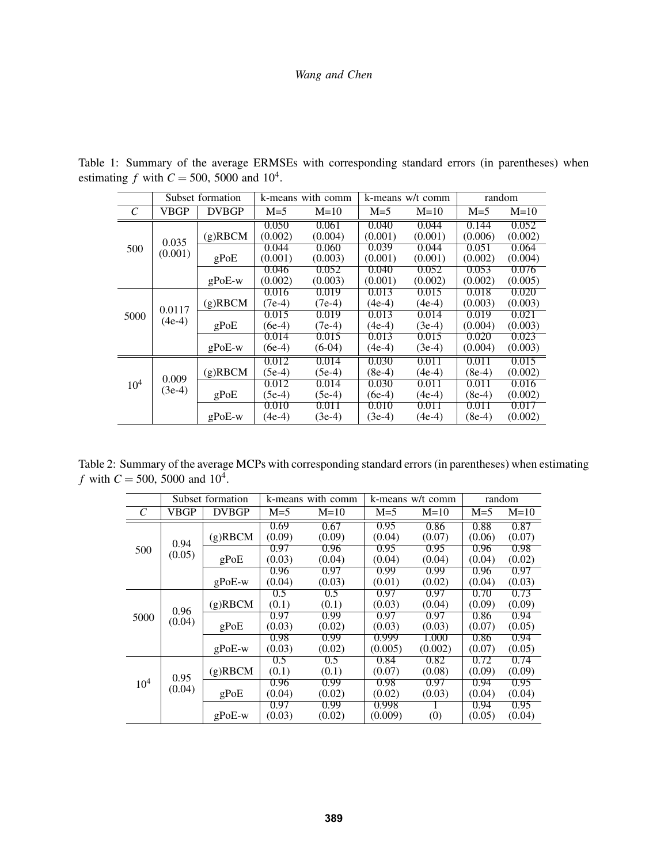<span id="page-9-0"></span>

|               | Subset formation   |              | k-means with comm |                  | k-means w/t comm |                  | random           |                  |
|---------------|--------------------|--------------|-------------------|------------------|------------------|------------------|------------------|------------------|
| $\mathcal{C}$ | VBGP               | <b>DVBGP</b> | $M = 5$           | $M=10$           | $M = 5$          | $M=10$           | $M=5$            | $M=10$           |
|               | 0.035<br>(0.001)   |              | 0.050             | 0.061            | 0.040            | 0.044            | 0.144            | 0.052            |
|               |                    | $(g)$ RBCM   | (0.002)<br>0.044  | (0.004)<br>0.060 | (0.001)<br>0.039 | (0.001)<br>0.044 | (0.006)<br>0.051 | (0.002)<br>0.064 |
| 500           |                    | gPoE         | (0.001)           | (0.003)          | (0.001)          | (0.001)          | (0.002)          | (0.004)          |
|               |                    |              | 0.046             | 0.052            | 0.040            | 0.052            | 0.053            | 0.076            |
|               |                    | $gPoE-w$     | (0.002)           | (0.003)          | (0.001)          | (0.002)          | (0.002)          | (0.005)          |
|               | 0.0117<br>$(4e-4)$ |              | 0.016             | 0.019            | 0.013            | 0.015            | 0.018            | 0.020            |
| 5000          |                    | $(g)$ RBCM   | $(7e-4)$          | $(7e-4)$         | (4e-4)           | $(4e-4)$         | (0.003)          | (0.003)          |
|               |                    |              | 0.015             | 0.019            | 0.013            | 0.014            | 0.019            | 0.021            |
|               |                    | gPoE         | $(6e-4)$          | $(7e-4)$         | $(4e-4)$         | $(3e-4)$         | (0.004)          | (0.003)          |
|               |                    |              | 0.014             | 0.015            | 0.013            | 0.015            | 0.020            | 0.023            |
|               |                    | $gPoE-w$     | $(6e-4)$          | $(6-04)$         | $(4e-4)$         | $(3e-4)$         | (0.004)          | (0.003)          |
|               |                    |              | 0.012             | 0.014            | 0.030            | 0.011            | 0.011            | 0.015            |
|               | 0.009              | $(g)$ RBCM   | $(5e-4)$          | $(5e-4)$         | $(8e-4)$         | $(4e-4)$         | $(8e-4)$         | (0.002)          |
| $10^{4}$      | $(3e-4)$           |              | 0.012             | 0.014            | 0.030            | 0.011            | 0.011            | 0.016            |
|               |                    | gPoE         | $(5e-4)$          | (5e-4)           | $(6e-4)$         | $(4e-4)$         | $(8e-4)$         | (0.002)          |
|               |                    |              | 0.010             | 0.011            | 0.010            | 0.011            | 0.011            | 0.017            |
|               |                    | $gPoE-w$     | (4e-4)            | $(3e-4)$         | $(3e-4)$         | $(4e-4)$         | (8e-4)           | (0.002)          |

Table 1: Summary of the average ERMSEs with corresponding standard errors (in parentheses) when estimating  $f$  with  $C = 500$ , 5000 and  $10^4$ .

| Table 2: Summary of the average MCPs with corresponding standard errors (in parentheses) when estimating |  |
|----------------------------------------------------------------------------------------------------------|--|
| f with $C = 500$ , 5000 and 10 <sup>4</sup> .                                                            |  |

<span id="page-9-1"></span>

|               |                | Subset formation |         | k-means with comm |         | k-means w/t comm |         | random |  |
|---------------|----------------|------------------|---------|-------------------|---------|------------------|---------|--------|--|
| $\mathcal{C}$ | VBGP           | <b>DVBGP</b>     | $M = 5$ | $M=10$            | $M=5$   | $M=10$           | $M = 5$ | $M=10$ |  |
|               | 0.94           |                  | 0.69    | 0.67              | 0.95    | 0.86             | 0.88    | 0.87   |  |
|               |                | $(g)$ RBCM       | (0.09)  | (0.09)            | (0.04)  | (0.07)           | (0.06)  | (0.07) |  |
| 500           |                |                  | 0.97    | 0.96              | 0.95    | 0.95             | 0.96    | 0.98   |  |
|               | (0.05)         | gPoE             | (0.03)  | (0.04)            | (0.04)  | (0.04)           | (0.04)  | (0.02) |  |
|               |                |                  | 0.96    | 0.97              | 0.99    | 0.99             | 0.96    | 0.97   |  |
|               |                | $gPoE-w$         | (0.04)  | (0.03)            | (0.01)  | (0.02)           | (0.04)  | (0.03) |  |
|               | 0.96<br>(0.04) |                  | 0.5     | 0.5               | 0.97    | 0.97             | 0.70    | 0.73   |  |
|               |                | $(g)$ RBCM       | (0.1)   | (0.1)             | (0.03)  | (0.04)           | (0.09)  | (0.09) |  |
| 5000          |                |                  | 0.97    | 0.99              | 0.97    | 0.97             | 0.86    | 0.94   |  |
|               |                | gPoE             | (0.03)  | (0.02)            | (0.03)  | (0.03)           | (0.07)  | (0.05) |  |
|               |                |                  | 0.98    | 0.99              | 0.999   | 1.000            | 0.86    | 0.94   |  |
|               |                | $gPoE-w$         | (0.03)  | (0.02)            | (0.005) | (0.002)          | (0.07)  | (0.05) |  |
|               | 0.95<br>(0.04) |                  | 0.5     | 0.5               | 0.84    | 0.82             | 0.72    | 0.74   |  |
|               |                | $(g)$ RBCM       | (0.1)   | (0.1)             | (0.07)  | (0.08)           | (0.09)  | (0.09) |  |
| $10^{4}$      |                |                  | 0.96    | 0.99              | 0.98    | 0.97             | 0.94    | 0.95   |  |
|               |                | gPoE             | (0.04)  | (0.02)            | (0.02)  | (0.03)           | (0.04)  | (0.04) |  |
|               |                |                  | 0.97    | 0.99              | 0.998   |                  | 0.94    | 0.95   |  |
|               |                | $gPoE-w$         | (0.03)  | (0.02)            | (0.009) | (0)              | (0.05)  | (0.04) |  |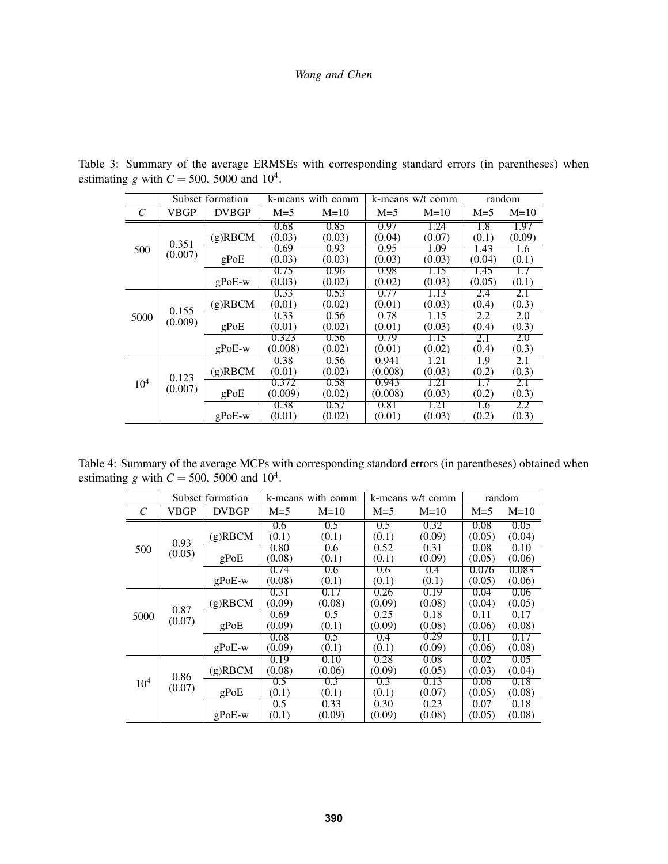<span id="page-10-0"></span>

|          | Subset formation |              | k-means with comm |                | k-means w/t comm |                | random         |              |
|----------|------------------|--------------|-------------------|----------------|------------------|----------------|----------------|--------------|
| C        | VBGP             | <b>DVBGP</b> | $M=5$             | $M=10$         | $M=5$            | $M=10$         | $M=5$          | $M=10$       |
|          |                  |              |                   | 0.85           | 0.97             |                | 1.8            | 1.97         |
|          | 0.351<br>(0.007) | $(g)$ RBCM   | 0.68<br>(0.03)    | (0.03)         | (0.04)           | 1.24<br>(0.07) | (0.1)          | (0.09)       |
| 500      |                  | gPoE         | 0.69<br>(0.03)    | 0.93<br>(0.03) | 0.95<br>(0.03)   | 1.09<br>(0.03) | 1.43<br>(0.04) | 1.6<br>(0.1) |
|          |                  |              | 0.75              | 0.96           | 0.98             | 1.15           | 1.45           |              |
|          |                  | $gPoE-w$     | (0.03)            | (0.02)         | (0.02)           | (0.03)         | (0.05)         | (0.1)        |
|          | 0.155<br>(0.009) |              | 0.33              | 0.53           | 0.77             | 1.13           | 2.4            | 2.1          |
| 5000     |                  | $(g)$ RBCM   | (0.01)            | (0.02)         | (0.01)           | (0.03)         | (0.4)          | (0.3)        |
|          |                  |              | 0.33              | 0.56           | 0.78             | 1.15           | 2.2            | 2.0          |
|          |                  | gPoE         | (0.01)            | (0.02)         | (0.01)           | (0.03)         | (0.4)          | (0.3)        |
|          |                  |              | 0.323             | 0.56           | 0.79             | 1.15           | 2.1            | 2.0          |
|          |                  | $gPoE-w$     | (0.008)           | (0.02)         | (0.01)           | (0.02)         | (0.4)          | (0.3)        |
|          | 0.123<br>(0.007) |              | 0.38              | 0.56           | 0.941            | 1.21           | 1.9            | 2.1          |
|          |                  | $(g)$ RBCM   | (0.01)            | (0.02)         | (0.008)          | (0.03)         | (0.2)          | (0.3)        |
| $10^{4}$ |                  |              | 0.372             | 0.58           | 0.943            | 1.21           | 1.7            | 2.1          |
|          |                  | gPoE         | (0.009)           | (0.02)         | (0.008)          | (0.03)         | (0.2)          | (0.3)        |
|          |                  |              | 0.38              | 0.57           | 0.81             | 1.21           | 1.6            | 2.2          |
|          |                  | $gPoE-w$     | (0.01)            | (0.02)         | (0.01)           | (0.03)         | (0.2)          | (0.3)        |

Table 3: Summary of the average ERMSEs with corresponding standard errors (in parentheses) when estimating *g* with  $C = 500$ , 5000 and  $10^4$ .

Table 4: Summary of the average MCPs with corresponding standard errors (in parentheses) obtained when estimating *g* with  $C = 500$ , 5000 and  $10^4$ .

<span id="page-10-1"></span>

|          |                | Subset formation |          | k-means with comm |        | k-means w/t comm |         | random |
|----------|----------------|------------------|----------|-------------------|--------|------------------|---------|--------|
| C        | VBGP           | <b>DVBGP</b>     | $M = 5$  | $M=10$            | $M=5$  | $M=10$           | $M = 5$ | $M=10$ |
|          | 0.93           |                  | 0.6      | 0.5               | 0.5    | 0.32             | 0.08    | 0.05   |
|          |                | $(g)$ RBCM       | (0.1)    | (0.1)             | (0.1)  | (0.09)           | (0.05)  | (0.04) |
| 500      |                |                  | $0.80\,$ | 0.6               | 0.52   | 0.31             | 0.08    | 0.10   |
|          | (0.05)         | gPoE             | (0.08)   | (0.1)             | (0.1)  | (0.09)           | (0.05)  | (0.06) |
|          |                |                  | 0.74     | 0.6               | 0.6    | 0.4              | 0.076   | 0.083  |
|          |                | $gPoE-w$         | (0.08)   | (0.1)             | (0.1)  | (0.1)            | (0.05)  | (0.06) |
|          | 0.87<br>(0.07) |                  | 0.31     | 0.17              | 0.26   | 0.19             | 0.04    | 0.06   |
| 5000     |                | $(g)$ RBCM       | (0.09)   | (0.08)            | (0.09) | (0.08)           | (0.04)  | (0.05) |
|          |                |                  | 0.69     | $0.5^{\circ}$     | 0.25   | 0.18             | 0.11    | 0.17   |
|          |                | gPoE             | (0.09)   | (0.1)             | (0.09) | (0.08)           | (0.06)  | (0.08) |
|          |                |                  | 0.68     | 0.5               | 0.4    | 0.29             | 0.11    | 0.17   |
|          |                | $gPoE-w$         | (0.09)   | (0.1)             | (0.1)  | (0.09)           | (0.06)  | (0.08) |
|          | 0.86<br>(0.07) |                  | 0.19     | 0.10              | 0.28   | 0.08             | 0.02    | 0.05   |
|          |                | $(g)$ RBCM       | (0.08)   | (0.06)            | (0.09) | (0.05)           | (0.03)  | (0.04) |
| $10^{4}$ |                |                  | 0.5      | 0.3               | 0.3    | 0.13             | 0.06    | 0.18   |
|          |                | gPoE             | (0.1)    | (0.1)             | (0.1)  | (0.07)           | (0.05)  | (0.08) |
|          |                |                  | 0.5      | 0.33              | 0.30   | 0.23             | 0.07    | 0.18   |
|          |                | $gPoE-w$         | (0.1)    | (0.09)            | (0.09) | (0.08)           | (0.05)  | (0.08) |